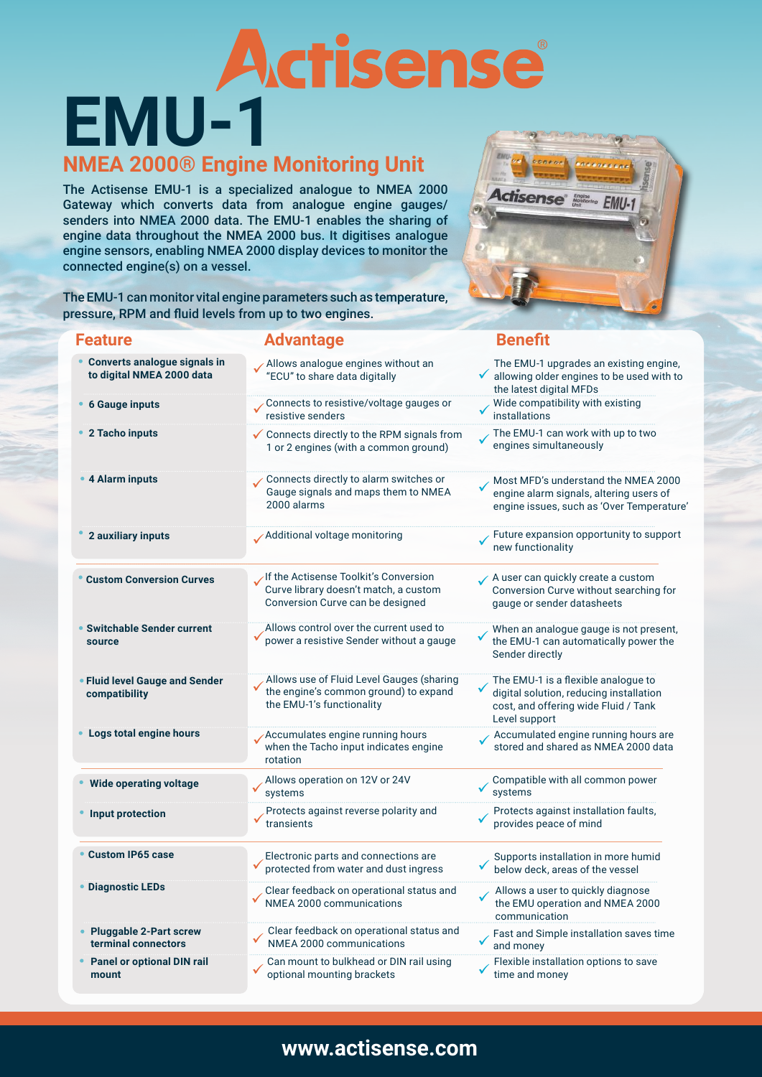# **EMU-1**

### **NMEA 2000® Engine Monitoring Unit**

The Actisense EMU-1 is a specialized analogue to NMEA 2000 Gateway which converts data from analogue engine gauges/ senders into NMEA 2000 data. The EMU-1 enables the sharing of engine data throughout the NMEA 2000 bus. It digitises analogue engine sensors, enabling NMEA 2000 display devices to monitor the connected engine(s) on a vessel.



The EMU-1 can monitor vital engine parameters such as temperature, pressure, RPM and fluid levels from up to two engines.

| <b>Feature</b>                                            | <b>Advantage</b>                                                                                                   | <b>Benefit</b>                                                                                                                          |
|-----------------------------------------------------------|--------------------------------------------------------------------------------------------------------------------|-----------------------------------------------------------------------------------------------------------------------------------------|
| Converts analogue signals in<br>to digital NMEA 2000 data | Allows analogue engines without an<br>"ECU" to share data digitally                                                | The EMU-1 upgrades an existing engine,<br>$\checkmark$ allowing older engines to be used with to<br>the latest digital MFDs             |
| <b>6 Gauge inputs</b>                                     | Connects to resistive/voltage gauges or<br>resistive senders                                                       | Wide compatibility with existing<br>installations                                                                                       |
| 2 Tacho inputs                                            | ✔ Connects directly to the RPM signals from<br>1 or 2 engines (with a common ground)                               | The EMU-1 can work with up to two<br>engines simultaneously                                                                             |
| <b>4 Alarm inputs</b>                                     | Connects directly to alarm switches or<br>Gauge signals and maps them to NMEA<br>2000 alarms                       | Most MFD's understand the NMEA 2000<br>engine alarm signals, altering users of<br>engine issues, such as 'Over Temperature'             |
| 2 auxiliary inputs                                        | Additional voltage monitoring                                                                                      | Future expansion opportunity to support<br>new functionality                                                                            |
| <b>Custom Conversion Curves</b>                           | If the Actisense Toolkit's Conversion<br>Curve library doesn't match, a custom<br>Conversion Curve can be designed | A user can quickly create a custom<br>Conversion Curve without searching for<br>gauge or sender datasheets                              |
| • Switchable Sender current<br>source                     | Allows control over the current used to<br>power a resistive Sender without a gauge                                | When an analogue gauge is not present,<br>the EMU-1 can automatically power the<br>Sender directly                                      |
| • Fluid level Gauge and Sender<br>compatibility           | Allows use of Fluid Level Gauges (sharing<br>the engine's common ground) to expand<br>the EMU-1's functionality    | The EMU-1 is a flexible analogue to<br>digital solution, reducing installation<br>cost, and offering wide Fluid / Tank<br>Level support |
| Logs total engine hours                                   | Accumulates engine running hours<br>when the Tacho input indicates engine<br>rotation                              | Accumulated engine running hours are<br>stored and shared as NMEA 2000 data                                                             |
| <b>Wide operating voltage</b>                             | Allows operation on 12V or 24V<br>systems                                                                          | Compatible with all common power<br>systems                                                                                             |
| • Input protection                                        | Protects against reverse polarity and<br>transients                                                                | Protects against installation faults,<br>provides peace of mind                                                                         |
| • Custom IP65 case                                        | Electronic parts and connections are<br>protected from water and dust ingress                                      | Supports installation in more humid<br>below deck, areas of the vessel                                                                  |
| <b>Diagnostic LEDs</b>                                    | Clear feedback on operational status and<br>NMEA 2000 communications                                               | Allows a user to quickly diagnose<br>the EMU operation and NMEA 2000<br>communication                                                   |
| <b>Pluggable 2-Part screw</b><br>terminal connectors      | Clear feedback on operational status and<br>NMEA 2000 communications                                               | Fast and Simple installation saves time<br>and money                                                                                    |
| <b>Panel or optional DIN rail</b><br>mount                | Can mount to bulkhead or DIN rail using<br>optional mounting brackets                                              | Flexible installation options to save<br>time and money                                                                                 |